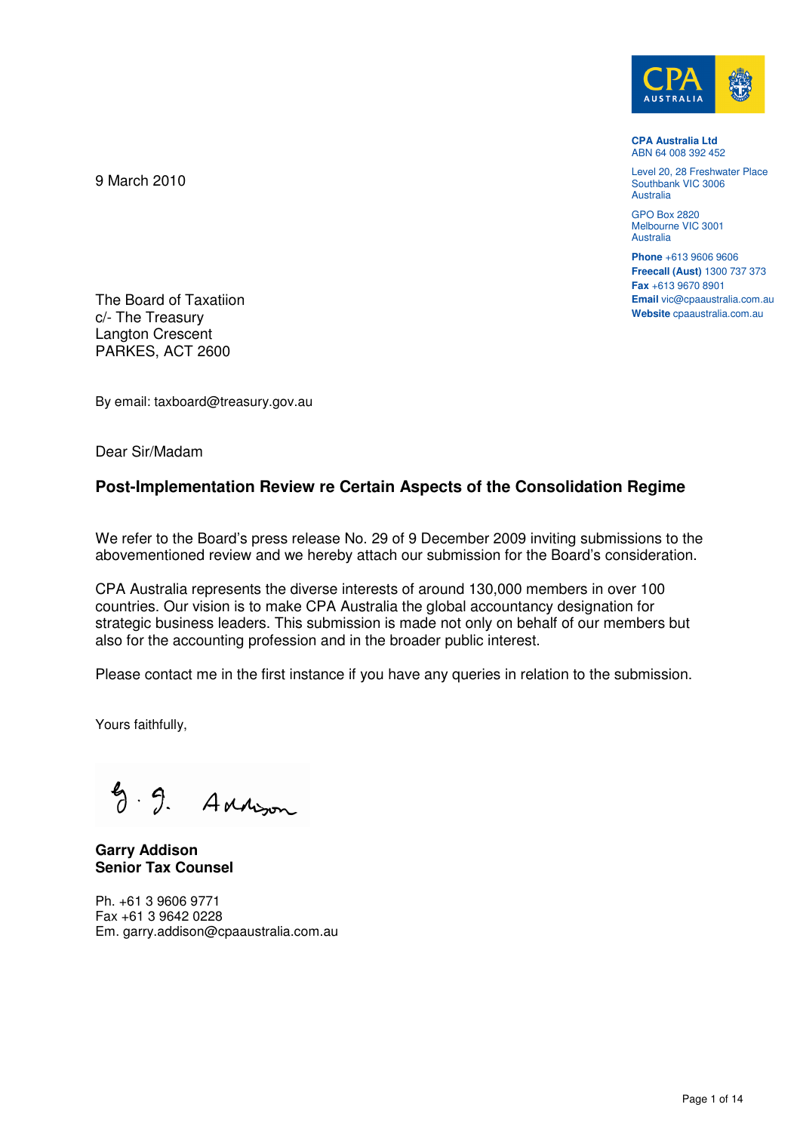

**CPA Australia Ltd**  ABN 64 008 392 452

Level 20, 28 Freshwater Place Southbank VIC 3006 **Australia** 

GPO Box 2820 Melbourne VIC 3001 **Australia** 

**Phone** +613 9606 9606 **Freecall (Aust)** 1300 737 373 **Fax** +613 9670 8901 **Email** vic@cpaaustralia.com.au **Website** cpaaustralia.com.au

The Board of Taxatiion c/- The Treasury Langton Crescent PARKES, ACT 2600

9 March 2010

By email: taxboard@treasury.gov.au

Dear Sir/Madam

# **Post-Implementation Review re Certain Aspects of the Consolidation Regime**

We refer to the Board's press release No. 29 of 9 December 2009 inviting submissions to the abovementioned review and we hereby attach our submission for the Board's consideration.

CPA Australia represents the diverse interests of around 130,000 members in over 100 countries. Our vision is to make CPA Australia the global accountancy designation for strategic business leaders. This submission is made not only on behalf of our members but also for the accounting profession and in the broader public interest.

Please contact me in the first instance if you have any queries in relation to the submission.

Yours faithfully,

 $9.9.$  Adversion

**Garry Addison Senior Tax Counsel** 

Ph. +61 3 9606 9771 Fax +61 3 9642 0228 Em. garry.addison@cpaaustralia.com.au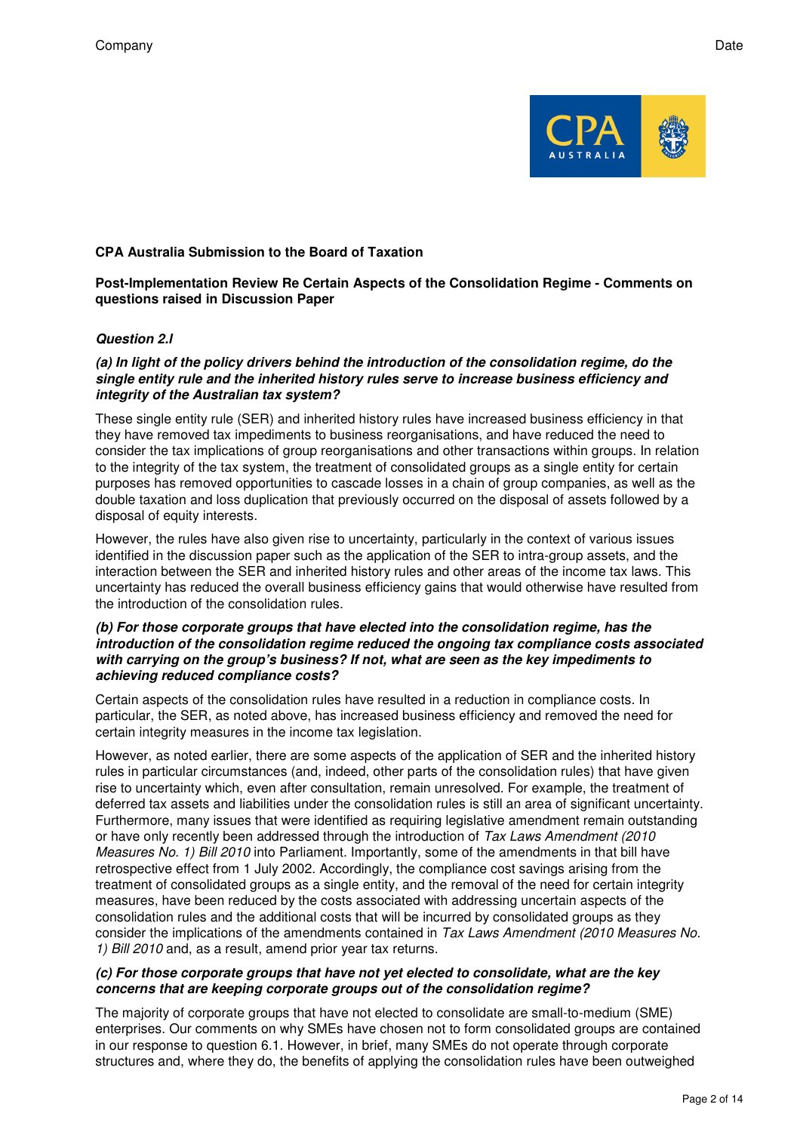

## **CPA Australia Submission to the Board of Taxation**

#### **Post-Implementation Review Re Certain Aspects of the Consolidation Regime - Comments on questions raised in Discussion Paper**

## **Question 2.l**

#### **(a) In light of the policy drivers behind the introduction of the consolidation regime, do the single entity rule and the inherited history rules serve to increase business efficiency and integrity of the Australian tax system?**

These single entity rule (SER) and inherited history rules have increased business efficiency in that they have removed tax impediments to business reorganisations, and have reduced the need to consider the tax implications of group reorganisations and other transactions within groups. In relation to the integrity of the tax system, the treatment of consolidated groups as a single entity for certain purposes has removed opportunities to cascade losses in a chain of group companies, as well as the double taxation and loss duplication that previously occurred on the disposal of assets followed by a disposal of equity interests.

However, the rules have also given rise to uncertainty, particularly in the context of various issues identified in the discussion paper such as the application of the SER to intra-group assets, and the interaction between the SER and inherited history rules and other areas of the income tax laws. This uncertainty has reduced the overall business efficiency gains that would otherwise have resulted from the introduction of the consolidation rules.

#### **(b) For those corporate groups that have elected into the consolidation regime, has the introduction of the consolidation regime reduced the ongoing tax compliance costs associated with carrying on the group's business? If not, what are seen as the key impediments to achieving reduced compliance costs?**

Certain aspects of the consolidation rules have resulted in a reduction in compliance costs. In particular, the SER, as noted above, has increased business efficiency and removed the need for certain integrity measures in the income tax legislation.

However, as noted earlier, there are some aspects of the application of SER and the inherited history rules in particular circumstances (and, indeed, other parts of the consolidation rules) that have given rise to uncertainty which, even after consultation, remain unresolved. For example, the treatment of deferred tax assets and liabilities under the consolidation rules is still an area of significant uncertainty. Furthermore, many issues that were identified as requiring legislative amendment remain outstanding or have only recently been addressed through the introduction of Tax Laws Amendment (2010 Measures No. 1) Bill 2010 into Parliament. Importantly, some of the amendments in that bill have retrospective effect from 1 July 2002. Accordingly, the compliance cost savings arising from the treatment of consolidated groups as a single entity, and the removal of the need for certain integrity measures, have been reduced by the costs associated with addressing uncertain aspects of the consolidation rules and the additional costs that will be incurred by consolidated groups as they consider the implications of the amendments contained in Tax Laws Amendment (2010 Measures No. 1) Bill 2010 and, as a result, amend prior year tax returns.

## **(c) For those corporate groups that have not yet elected to consolidate, what are the key concerns that are keeping corporate groups out of the consolidation regime?**

The majority of corporate groups that have not elected to consolidate are small-to-medium (SME) enterprises. Our comments on why SMEs have chosen not to form consolidated groups are contained in our response to question 6.1. However, in brief, many SMEs do not operate through corporate structures and, where they do, the benefits of applying the consolidation rules have been outweighed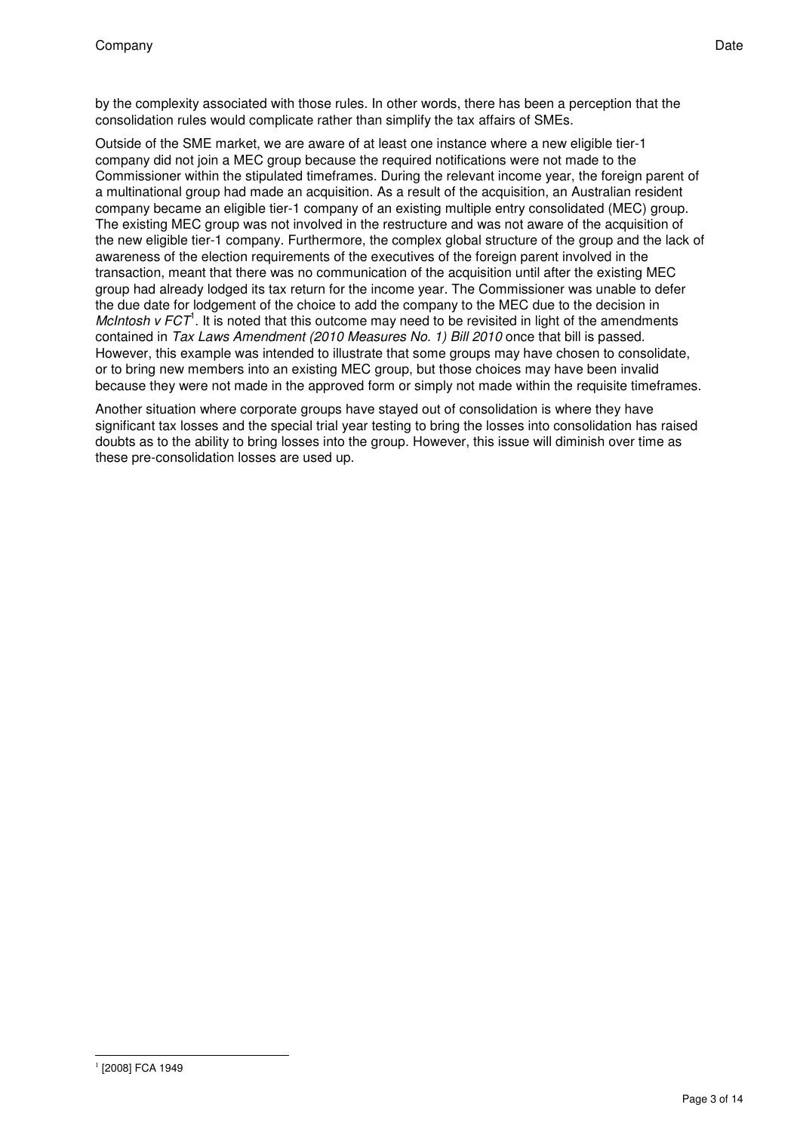by the complexity associated with those rules. In other words, there has been a perception that the consolidation rules would complicate rather than simplify the tax affairs of SMEs.

Outside of the SME market, we are aware of at least one instance where a new eligible tier-1 company did not join a MEC group because the required notifications were not made to the Commissioner within the stipulated timeframes. During the relevant income year, the foreign parent of a multinational group had made an acquisition. As a result of the acquisition, an Australian resident company became an eligible tier-1 company of an existing multiple entry consolidated (MEC) group. The existing MEC group was not involved in the restructure and was not aware of the acquisition of the new eligible tier-1 company. Furthermore, the complex global structure of the group and the lack of awareness of the election requirements of the executives of the foreign parent involved in the transaction, meant that there was no communication of the acquisition until after the existing MEC group had already lodged its tax return for the income year. The Commissioner was unable to defer the due date for lodgement of the choice to add the company to the MEC due to the decision in McIntosh  $v$  FCT<sup>1</sup>. It is noted that this outcome may need to be revisited in light of the amendments contained in Tax Laws Amendment (2010 Measures No. 1) Bill 2010 once that bill is passed. However, this example was intended to illustrate that some groups may have chosen to consolidate, or to bring new members into an existing MEC group, but those choices may have been invalid because they were not made in the approved form or simply not made within the requisite timeframes.

Another situation where corporate groups have stayed out of consolidation is where they have significant tax losses and the special trial year testing to bring the losses into consolidation has raised doubts as to the ability to bring losses into the group. However, this issue will diminish over time as these pre-consolidation losses are used up.

l <sup>1</sup> [2008] FCA 1949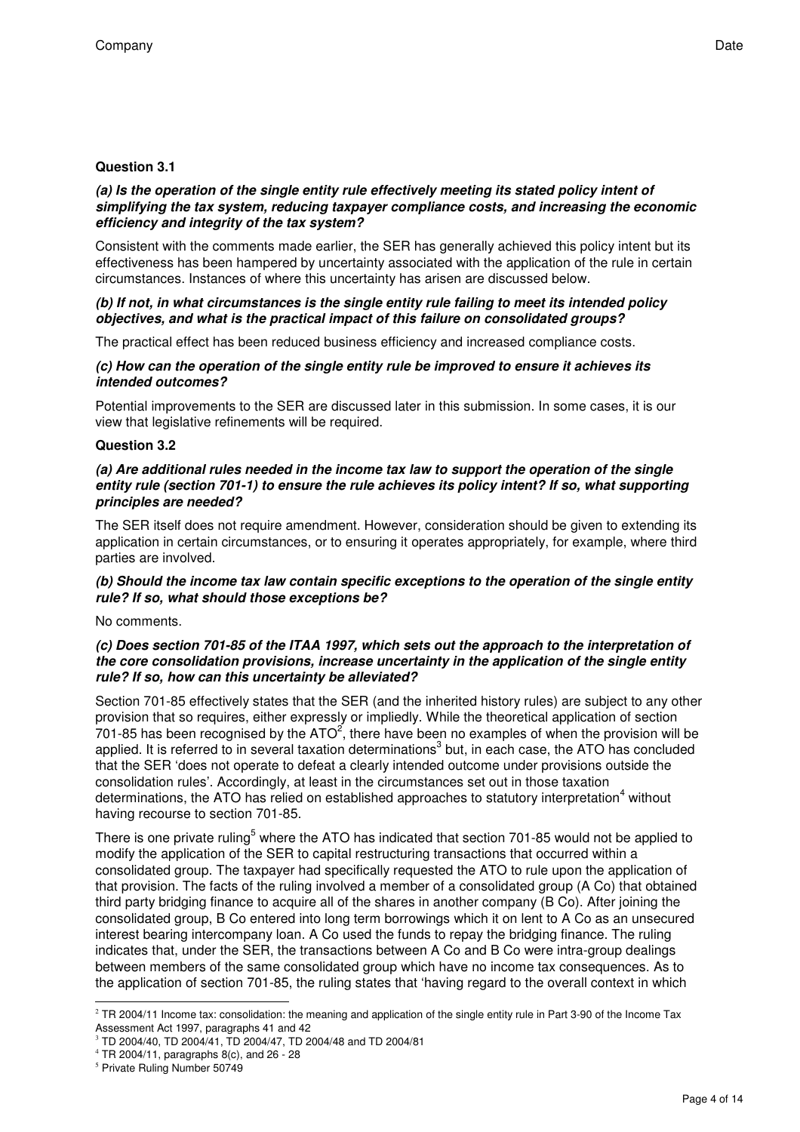## **Question 3.1**

#### **(a) Is the operation of the single entity rule effectively meeting its stated policy intent of simplifying the tax system, reducing taxpayer compliance costs, and increasing the economic efficiency and integrity of the tax system?**

Consistent with the comments made earlier, the SER has generally achieved this policy intent but its effectiveness has been hampered by uncertainty associated with the application of the rule in certain circumstances. Instances of where this uncertainty has arisen are discussed below.

## **(b) If not, in what circumstances is the single entity rule failing to meet its intended policy objectives, and what is the practical impact of this failure on consolidated groups?**

The practical effect has been reduced business efficiency and increased compliance costs.

#### **(c) How can the operation of the single entity rule be improved to ensure it achieves its intended outcomes?**

Potential improvements to the SER are discussed later in this submission. In some cases, it is our view that legislative refinements will be required.

## **Question 3.2**

### **(a) Are additional rules needed in the income tax law to support the operation of the single entity rule (section 701-1) to ensure the rule achieves its policy intent? If so, what supporting principles are needed?**

The SER itself does not require amendment. However, consideration should be given to extending its application in certain circumstances, or to ensuring it operates appropriately, for example, where third parties are involved.

## **(b) Should the income tax law contain specific exceptions to the operation of the single entity rule? If so, what should those exceptions be?**

No comments.

## **(c) Does section 701-85 of the ITAA 1997, which sets out the approach to the interpretation of the core consolidation provisions, increase uncertainty in the application of the single entity rule? If so, how can this uncertainty be alleviated?**

Section 701-85 effectively states that the SER (and the inherited history rules) are subject to any other provision that so requires, either expressly or impliedly. While the theoretical application of section 701-85 has been recognised by the ATO<sup>2</sup>, there have been no examples of when the provision will be applied. It is referred to in several taxation determinations<sup>3</sup> but, in each case, the ATO has concluded that the SER 'does not operate to defeat a clearly intended outcome under provisions outside the consolidation rules'. Accordingly, at least in the circumstances set out in those taxation determinations, the ATO has relied on established approaches to statutory interpretation<sup>4</sup> without having recourse to section 701-85.

There is one private ruling<sup>5</sup> where the ATO has indicated that section 701-85 would not be applied to modify the application of the SER to capital restructuring transactions that occurred within a consolidated group. The taxpayer had specifically requested the ATO to rule upon the application of that provision. The facts of the ruling involved a member of a consolidated group (A Co) that obtained third party bridging finance to acquire all of the shares in another company (B Co). After joining the consolidated group, B Co entered into long term borrowings which it on lent to A Co as an unsecured interest bearing intercompany loan. A Co used the funds to repay the bridging finance. The ruling indicates that, under the SER, the transactions between A Co and B Co were intra-group dealings between members of the same consolidated group which have no income tax consequences. As to the application of section 701-85, the ruling states that 'having regard to the overall context in which

-

 $2$  TR 2004/11 Income tax: consolidation: the meaning and application of the single entity rule in Part 3-90 of the Income Tax Assessment Act 1997, paragraphs 41 and 42

<sup>3</sup> TD 2004/40, TD 2004/41, TD 2004/47, TD 2004/48 and TD 2004/81

 $4$  TR 2004/11, paragraphs 8(c), and 26 - 28

<sup>5</sup> Private Ruling Number 50749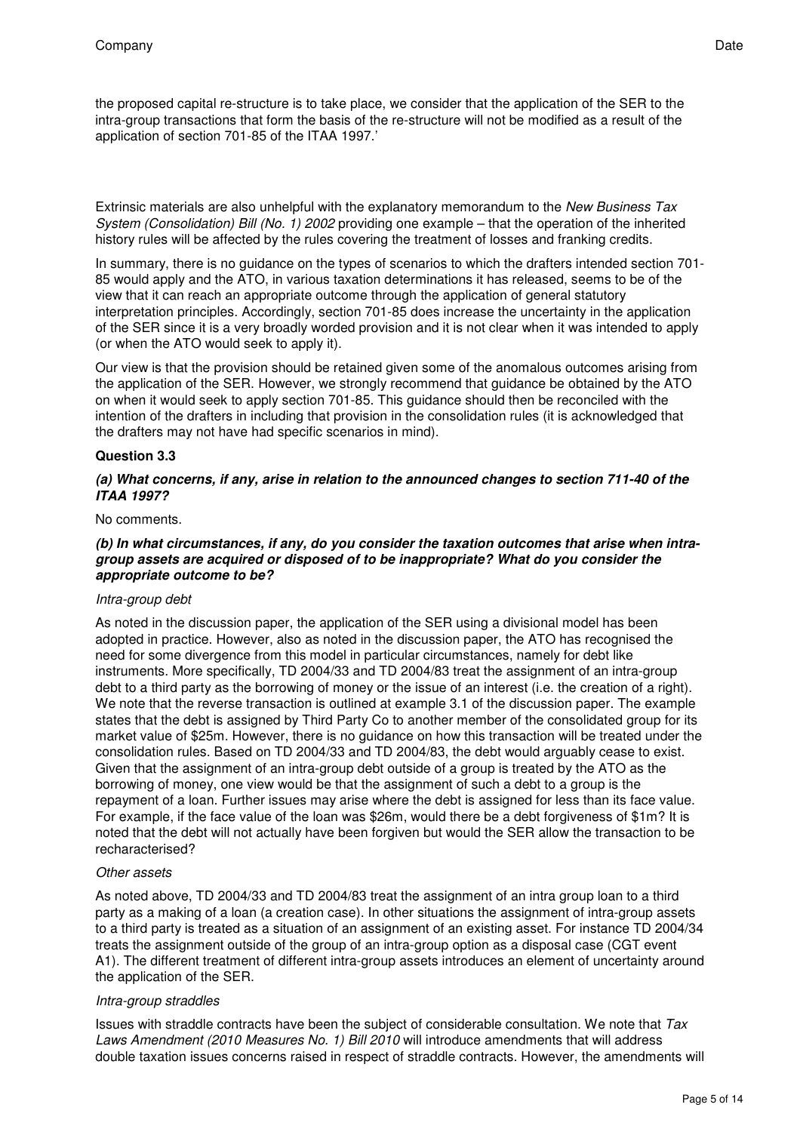the proposed capital re-structure is to take place, we consider that the application of the SER to the intra-group transactions that form the basis of the re-structure will not be modified as a result of the application of section 701-85 of the ITAA 1997.'

Extrinsic materials are also unhelpful with the explanatory memorandum to the New Business Tax System (Consolidation) Bill (No. 1) 2002 providing one example – that the operation of the inherited history rules will be affected by the rules covering the treatment of losses and franking credits.

In summary, there is no guidance on the types of scenarios to which the drafters intended section 701- 85 would apply and the ATO, in various taxation determinations it has released, seems to be of the view that it can reach an appropriate outcome through the application of general statutory interpretation principles. Accordingly, section 701-85 does increase the uncertainty in the application of the SER since it is a very broadly worded provision and it is not clear when it was intended to apply (or when the ATO would seek to apply it).

Our view is that the provision should be retained given some of the anomalous outcomes arising from the application of the SER. However, we strongly recommend that guidance be obtained by the ATO on when it would seek to apply section 701-85. This guidance should then be reconciled with the intention of the drafters in including that provision in the consolidation rules (it is acknowledged that the drafters may not have had specific scenarios in mind).

## **Question 3.3**

#### **(a) What concerns, if any, arise in relation to the announced changes to section 711-40 of the ITAA 1997?**

#### No comments.

## **(b) In what circumstances, if any, do you consider the taxation outcomes that arise when intragroup assets are acquired or disposed of to be inappropriate? What do you consider the appropriate outcome to be?**

## Intra-group debt

As noted in the discussion paper, the application of the SER using a divisional model has been adopted in practice. However, also as noted in the discussion paper, the ATO has recognised the need for some divergence from this model in particular circumstances, namely for debt like instruments. More specifically, TD 2004/33 and TD 2004/83 treat the assignment of an intra-group debt to a third party as the borrowing of money or the issue of an interest (i.e. the creation of a right). We note that the reverse transaction is outlined at example 3.1 of the discussion paper. The example states that the debt is assigned by Third Party Co to another member of the consolidated group for its market value of \$25m. However, there is no guidance on how this transaction will be treated under the consolidation rules. Based on TD 2004/33 and TD 2004/83, the debt would arguably cease to exist. Given that the assignment of an intra-group debt outside of a group is treated by the ATO as the borrowing of money, one view would be that the assignment of such a debt to a group is the repayment of a loan. Further issues may arise where the debt is assigned for less than its face value. For example, if the face value of the loan was \$26m, would there be a debt forgiveness of \$1m? It is noted that the debt will not actually have been forgiven but would the SER allow the transaction to be recharacterised?

#### Other assets

As noted above, TD 2004/33 and TD 2004/83 treat the assignment of an intra group loan to a third party as a making of a loan (a creation case). In other situations the assignment of intra-group assets to a third party is treated as a situation of an assignment of an existing asset. For instance TD 2004/34 treats the assignment outside of the group of an intra-group option as a disposal case (CGT event A1). The different treatment of different intra-group assets introduces an element of uncertainty around the application of the SER.

## Intra-group straddles

Issues with straddle contracts have been the subject of considerable consultation. We note that Tax Laws Amendment (2010 Measures No. 1) Bill 2010 will introduce amendments that will address double taxation issues concerns raised in respect of straddle contracts. However, the amendments will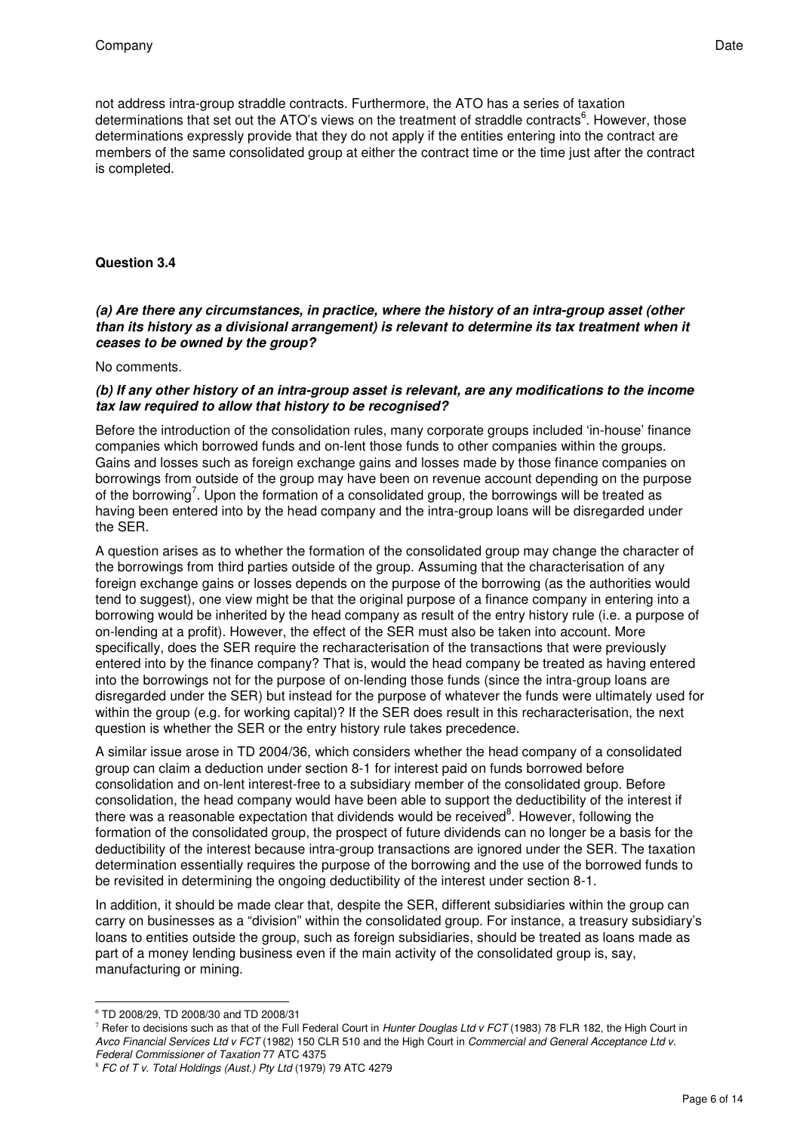not address intra-group straddle contracts. Furthermore, the ATO has a series of taxation determinations that set out the ATO's views on the treatment of straddle contracts $^6$ . However, those determinations expressly provide that they do not apply if the entities entering into the contract are members of the same consolidated group at either the contract time or the time just after the contract is completed.

## **Question 3.4**

## **(a) Are there any circumstances, in practice, where the history of an intra-group asset (other than its history as a divisional arrangement) is relevant to determine its tax treatment when it ceases to be owned by the group?**

No comments.

## **(b) If any other history of an intra-group asset is relevant, are any modifications to the income tax law required to allow that history to be recognised?**

Before the introduction of the consolidation rules, many corporate groups included 'in-house' finance companies which borrowed funds and on-lent those funds to other companies within the groups. Gains and losses such as foreign exchange gains and losses made by those finance companies on borrowings from outside of the group may have been on revenue account depending on the purpose of the borrowing<sup>7</sup>. Upon the formation of a consolidated group, the borrowings will be treated as having been entered into by the head company and the intra-group loans will be disregarded under the SER.

A question arises as to whether the formation of the consolidated group may change the character of the borrowings from third parties outside of the group. Assuming that the characterisation of any foreign exchange gains or losses depends on the purpose of the borrowing (as the authorities would tend to suggest), one view might be that the original purpose of a finance company in entering into a borrowing would be inherited by the head company as result of the entry history rule (i.e. a purpose of on-lending at a profit). However, the effect of the SER must also be taken into account. More specifically, does the SER require the recharacterisation of the transactions that were previously entered into by the finance company? That is, would the head company be treated as having entered into the borrowings not for the purpose of on-lending those funds (since the intra-group loans are disregarded under the SER) but instead for the purpose of whatever the funds were ultimately used for within the group (e.g. for working capital)? If the SER does result in this recharacterisation, the next question is whether the SER or the entry history rule takes precedence.

A similar issue arose in TD 2004/36, which considers whether the head company of a consolidated group can claim a deduction under section 8-1 for interest paid on funds borrowed before consolidation and on-lent interest-free to a subsidiary member of the consolidated group. Before consolidation, the head company would have been able to support the deductibility of the interest if there was a reasonable expectation that dividends would be received<sup>8</sup>. However, following the formation of the consolidated group, the prospect of future dividends can no longer be a basis for the deductibility of the interest because intra-group transactions are ignored under the SER. The taxation determination essentially requires the purpose of the borrowing and the use of the borrowed funds to be revisited in determining the ongoing deductibility of the interest under section 8-1.

In addition, it should be made clear that, despite the SER, different subsidiaries within the group can carry on businesses as a "division" within the consolidated group. For instance, a treasury subsidiary's loans to entities outside the group, such as foreign subsidiaries, should be treated as loans made as part of a money lending business even if the main activity of the consolidated group is, say, manufacturing or mining.

<sup>-</sup>6 TD 2008/29, TD 2008/30 and TD 2008/31

<sup>&</sup>lt;sup>7</sup> Refer to decisions such as that of the Full Federal Court in Hunter Douglas Ltd v FCT (1983) 78 FLR 182, the High Court in Avco Financial Services Ltd v FCT (1982) 150 CLR 510 and the High Court in Commercial and General Acceptance Ltd v. Federal Commissioner of Taxation 77 ATC 4375

<sup>8</sup> FC of T v. Total Holdings (Aust.) Pty Ltd (1979) 79 ATC 4279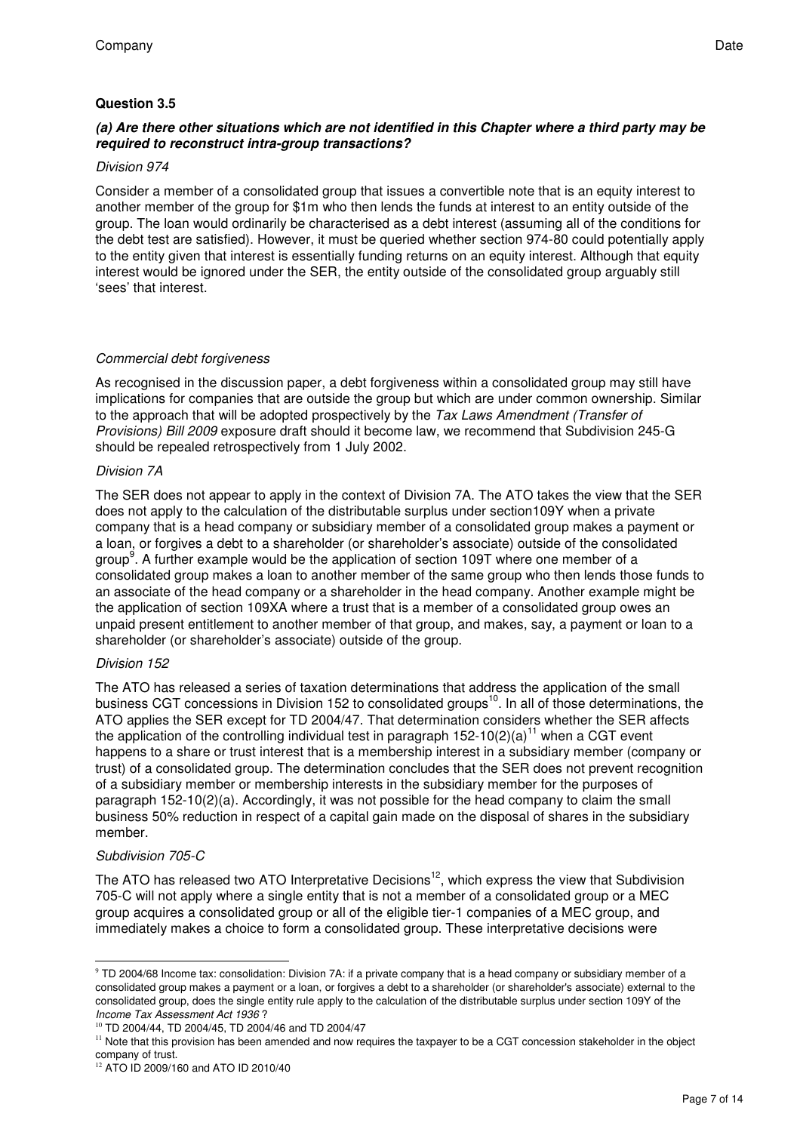## **Question 3.5**

## **(a) Are there other situations which are not identified in this Chapter where a third party may be required to reconstruct intra-group transactions?**

## Division 974

Consider a member of a consolidated group that issues a convertible note that is an equity interest to another member of the group for \$1m who then lends the funds at interest to an entity outside of the group. The loan would ordinarily be characterised as a debt interest (assuming all of the conditions for the debt test are satisfied). However, it must be queried whether section 974-80 could potentially apply to the entity given that interest is essentially funding returns on an equity interest. Although that equity interest would be ignored under the SER, the entity outside of the consolidated group arguably still 'sees' that interest.

## Commercial debt forgiveness

As recognised in the discussion paper, a debt forgiveness within a consolidated group may still have implications for companies that are outside the group but which are under common ownership. Similar to the approach that will be adopted prospectively by the Tax Laws Amendment (Transfer of Provisions) Bill 2009 exposure draft should it become law, we recommend that Subdivision 245-G should be repealed retrospectively from 1 July 2002.

## Division 7A

The SER does not appear to apply in the context of Division 7A. The ATO takes the view that the SER does not apply to the calculation of the distributable surplus under section109Y when a private company that is a head company or subsidiary member of a consolidated group makes a payment or a loan, or forgives a debt to a shareholder (or shareholder's associate) outside of the consolidated group<sup>9</sup>. A further example would be the application of section 109T where one member of a consolidated group makes a loan to another member of the same group who then lends those funds to an associate of the head company or a shareholder in the head company. Another example might be the application of section 109XA where a trust that is a member of a consolidated group owes an unpaid present entitlement to another member of that group, and makes, say, a payment or loan to a shareholder (or shareholder's associate) outside of the group.

## Division 152

The ATO has released a series of taxation determinations that address the application of the small business CGT concessions in Division 152 to consolidated groups<sup>10</sup>. In all of those determinations, the ATO applies the SER except for TD 2004/47. That determination considers whether the SER affects the application of the controlling individual test in paragraph  $152-10(2)(a)^{11}$  when a CGT event happens to a share or trust interest that is a membership interest in a subsidiary member (company or trust) of a consolidated group. The determination concludes that the SER does not prevent recognition of a subsidiary member or membership interests in the subsidiary member for the purposes of paragraph 152-10(2)(a). Accordingly, it was not possible for the head company to claim the small business 50% reduction in respect of a capital gain made on the disposal of shares in the subsidiary member.

## Subdivision 705-C

-

The ATO has released two ATO Interpretative Decisions<sup>12</sup>, which express the view that Subdivision 705-C will not apply where a single entity that is not a member of a consolidated group or a MEC group acquires a consolidated group or all of the eligible tier-1 companies of a MEC group, and immediately makes a choice to form a consolidated group. These interpretative decisions were

<sup>&</sup>lt;sup>9</sup> TD 2004/68 Income tax: consolidation: Division 7A: if a private company that is a head company or subsidiary member of a consolidated group makes a payment or a loan, or forgives a debt to a shareholder (or shareholder's associate) external to the consolidated group, does the single entity rule apply to the calculation of the distributable surplus under section 109Y of the Income Tax Assessment Act 1936 ?

<sup>10</sup> TD 2004/44, TD 2004/45, TD 2004/46 and TD 2004/47

<sup>&</sup>lt;sup>11</sup> Note that this provision has been amended and now requires the taxpayer to be a CGT concession stakeholder in the object company of trust.

<sup>&</sup>lt;sup>12</sup> ATO ID 2009/160 and ATO ID 2010/40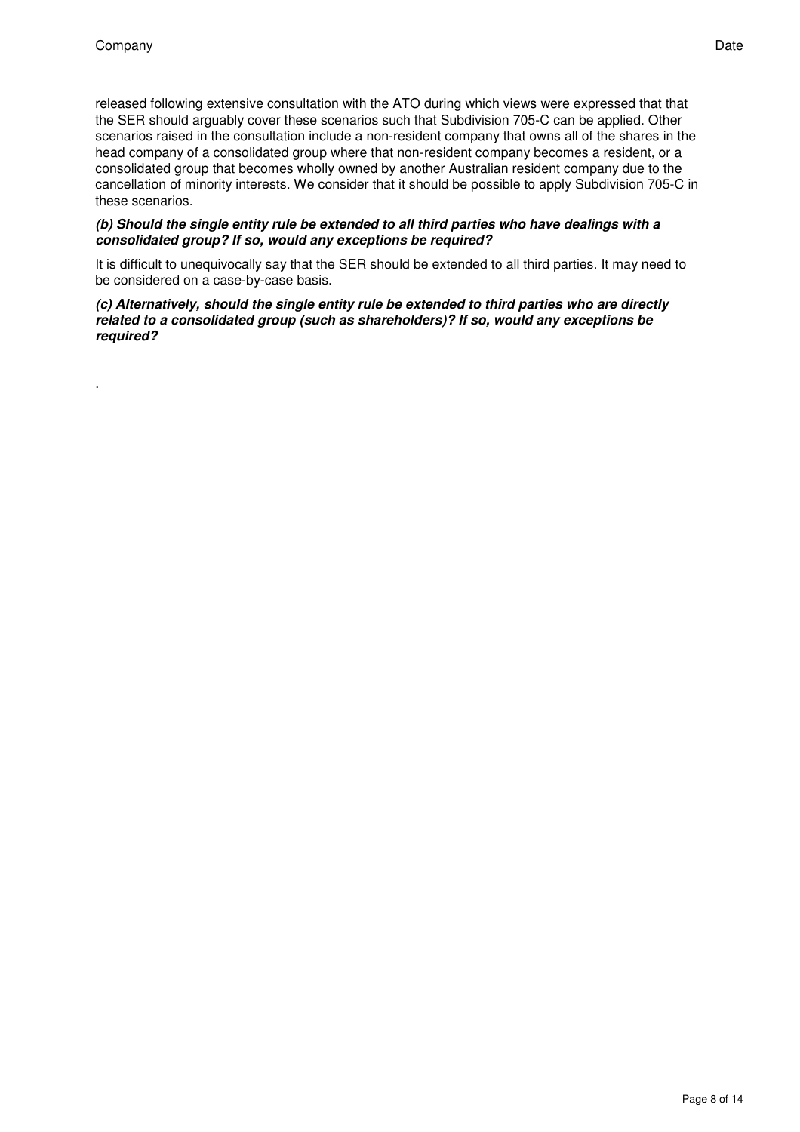.

released following extensive consultation with the ATO during which views were expressed that that the SER should arguably cover these scenarios such that Subdivision 705-C can be applied. Other scenarios raised in the consultation include a non-resident company that owns all of the shares in the head company of a consolidated group where that non-resident company becomes a resident, or a consolidated group that becomes wholly owned by another Australian resident company due to the cancellation of minority interests. We consider that it should be possible to apply Subdivision 705-C in these scenarios.

#### **(b) Should the single entity rule be extended to all third parties who have dealings with a consolidated group? If so, would any exceptions be required?**

It is difficult to unequivocally say that the SER should be extended to all third parties. It may need to be considered on a case-by-case basis.

#### **(c) Alternatively, should the single entity rule be extended to third parties who are directly related to a consolidated group (such as shareholders)? If so, would any exceptions be required?**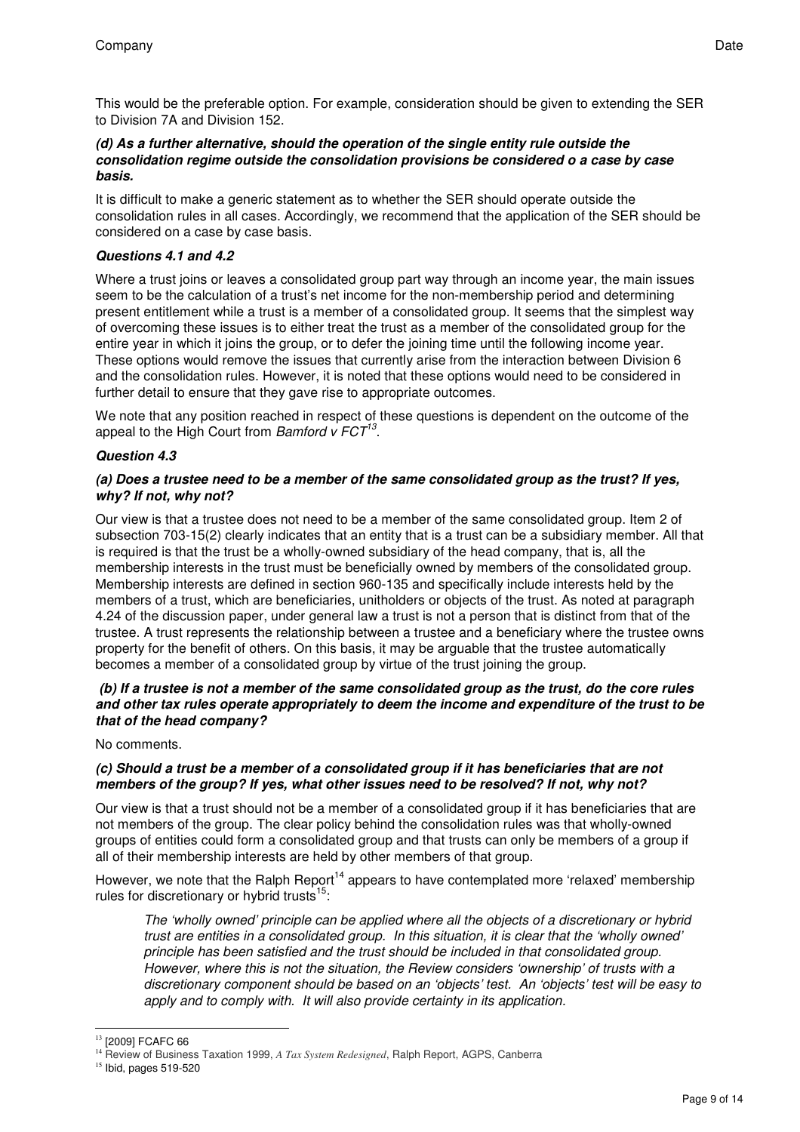This would be the preferable option. For example, consideration should be given to extending the SER to Division 7A and Division 152.

## **(d) As a further alternative, should the operation of the single entity rule outside the consolidation regime outside the consolidation provisions be considered o a case by case basis.**

It is difficult to make a generic statement as to whether the SER should operate outside the consolidation rules in all cases. Accordingly, we recommend that the application of the SER should be considered on a case by case basis.

## **Questions 4.1 and 4.2**

Where a trust joins or leaves a consolidated group part way through an income year, the main issues seem to be the calculation of a trust's net income for the non-membership period and determining present entitlement while a trust is a member of a consolidated group. It seems that the simplest way of overcoming these issues is to either treat the trust as a member of the consolidated group for the entire year in which it joins the group, or to defer the joining time until the following income year. These options would remove the issues that currently arise from the interaction between Division 6 and the consolidation rules. However, it is noted that these options would need to be considered in further detail to ensure that they gave rise to appropriate outcomes.

We note that any position reached in respect of these questions is dependent on the outcome of the appeal to the High Court from Bamford  $v$  FCT $^{13}$ .

## **Question 4.3**

## **(a) Does a trustee need to be a member of the same consolidated group as the trust? If yes, why? If not, why not?**

Our view is that a trustee does not need to be a member of the same consolidated group. Item 2 of subsection 703-15(2) clearly indicates that an entity that is a trust can be a subsidiary member. All that is required is that the trust be a wholly-owned subsidiary of the head company, that is, all the membership interests in the trust must be beneficially owned by members of the consolidated group. Membership interests are defined in section 960-135 and specifically include interests held by the members of a trust, which are beneficiaries, unitholders or objects of the trust. As noted at paragraph 4.24 of the discussion paper, under general law a trust is not a person that is distinct from that of the trustee. A trust represents the relationship between a trustee and a beneficiary where the trustee owns property for the benefit of others. On this basis, it may be arguable that the trustee automatically becomes a member of a consolidated group by virtue of the trust joining the group.

## **(b) If a trustee is not a member of the same consolidated group as the trust, do the core rules and other tax rules operate appropriately to deem the income and expenditure of the trust to be that of the head company?**

No comments.

## **(c) Should a trust be a member of a consolidated group if it has beneficiaries that are not members of the group? If yes, what other issues need to be resolved? If not, why not?**

Our view is that a trust should not be a member of a consolidated group if it has beneficiaries that are not members of the group. The clear policy behind the consolidation rules was that wholly-owned groups of entities could form a consolidated group and that trusts can only be members of a group if all of their membership interests are held by other members of that group.

However, we note that the Ralph Report<sup>14</sup> appears to have contemplated more 'relaxed' membership rules for discretionary or hybrid trusts<sup>15</sup>:

The 'wholly owned' principle can be applied where all the objects of a discretionary or hybrid trust are entities in a consolidated group. In this situation, it is clear that the 'wholly owned' principle has been satisfied and the trust should be included in that consolidated group. However, where this is not the situation, the Review considers 'ownership' of trusts with a discretionary component should be based on an 'objects' test. An 'objects' test will be easy to apply and to comply with. It will also provide certainty in its application.

<sup>-</sup><sup>13</sup> [2009] FCAFC 66

<sup>14</sup> Review of Business Taxation 1999, *A Tax System Redesigned*, Ralph Report, AGPS, Canberra

 $15$  Ibid, pages 519-520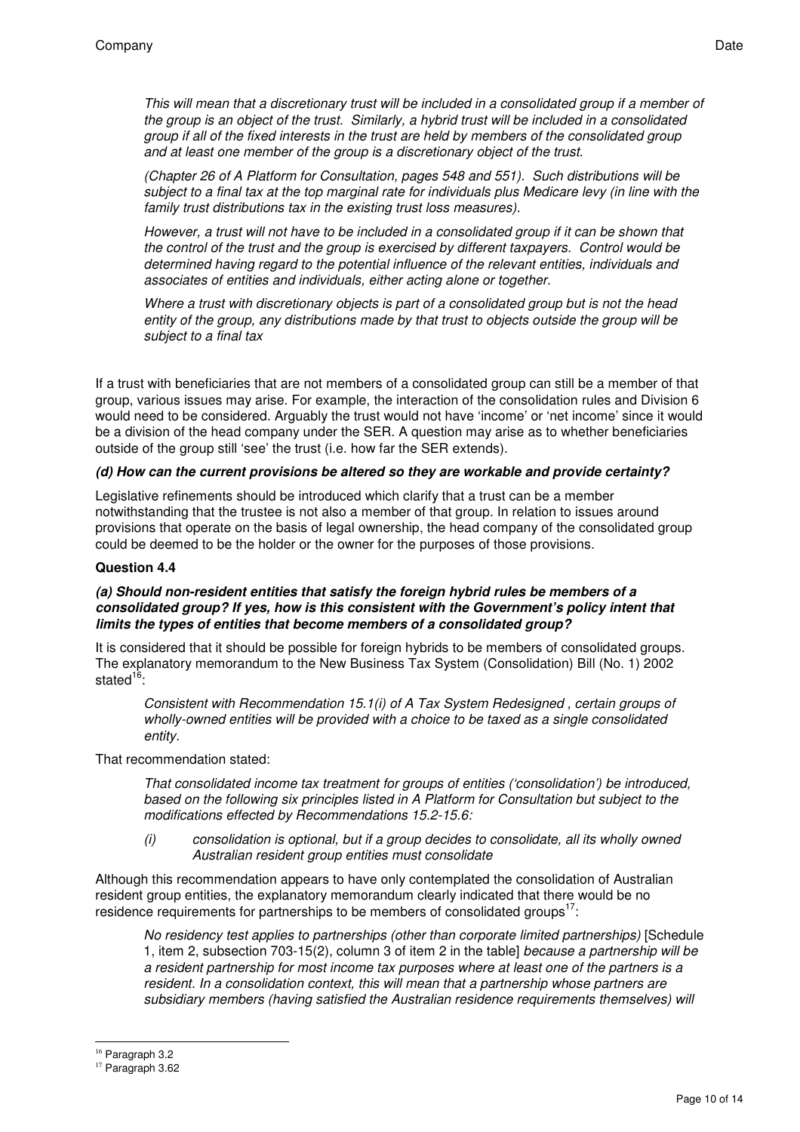This will mean that a discretionary trust will be included in a consolidated group if a member of the group is an object of the trust. Similarly, a hybrid trust will be included in a consolidated group if all of the fixed interests in the trust are held by members of the consolidated group and at least one member of the group is a discretionary object of the trust.

(Chapter 26 of A Platform for Consultation, pages 548 and 551). Such distributions will be subject to a final tax at the top marginal rate for individuals plus Medicare levy (in line with the family trust distributions tax in the existing trust loss measures).

However, a trust will not have to be included in a consolidated group if it can be shown that the control of the trust and the group is exercised by different taxpayers. Control would be determined having regard to the potential influence of the relevant entities, individuals and associates of entities and individuals, either acting alone or together.

Where a trust with discretionary objects is part of a consolidated group but is not the head entity of the group, any distributions made by that trust to objects outside the group will be subject to a final tax

If a trust with beneficiaries that are not members of a consolidated group can still be a member of that group, various issues may arise. For example, the interaction of the consolidation rules and Division 6 would need to be considered. Arguably the trust would not have 'income' or 'net income' since it would be a division of the head company under the SER. A question may arise as to whether beneficiaries outside of the group still 'see' the trust (i.e. how far the SER extends).

#### **(d) How can the current provisions be altered so they are workable and provide certainty?**

Legislative refinements should be introduced which clarify that a trust can be a member notwithstanding that the trustee is not also a member of that group. In relation to issues around provisions that operate on the basis of legal ownership, the head company of the consolidated group could be deemed to be the holder or the owner for the purposes of those provisions.

#### **Question 4.4**

#### **(a) Should non-resident entities that satisfy the foreign hybrid rules be members of a consolidated group? If yes, how is this consistent with the Government's policy intent that limits the types of entities that become members of a consolidated group?**

It is considered that it should be possible for foreign hybrids to be members of consolidated groups. The explanatory memorandum to the New Business Tax System (Consolidation) Bill (No. 1) 2002 stated $16$ :

Consistent with Recommendation 15.1(i) of A Tax System Redesigned , certain groups of wholly-owned entities will be provided with a choice to be taxed as a single consolidated entity.

That recommendation stated:

That consolidated income tax treatment for groups of entities ('consolidation') be introduced, based on the following six principles listed in A Platform for Consultation but subject to the modifications effected by Recommendations 15.2-15.6:

(i) consolidation is optional, but if a group decides to consolidate, all its wholly owned Australian resident group entities must consolidate

Although this recommendation appears to have only contemplated the consolidation of Australian resident group entities, the explanatory memorandum clearly indicated that there would be no residence requirements for partnerships to be members of consolidated groups $17$ :

No residency test applies to partnerships (other than corporate limited partnerships) [Schedule 1, item 2, subsection 703-15(2), column 3 of item 2 in the table] because a partnership will be a resident partnership for most income tax purposes where at least one of the partners is a resident. In a consolidation context, this will mean that a partnership whose partners are subsidiary members (having satisfied the Australian residence requirements themselves) will

-

<sup>&</sup>lt;sup>16</sup> Paragraph 3.2

<sup>&</sup>lt;sup>17</sup> Paragraph 3.62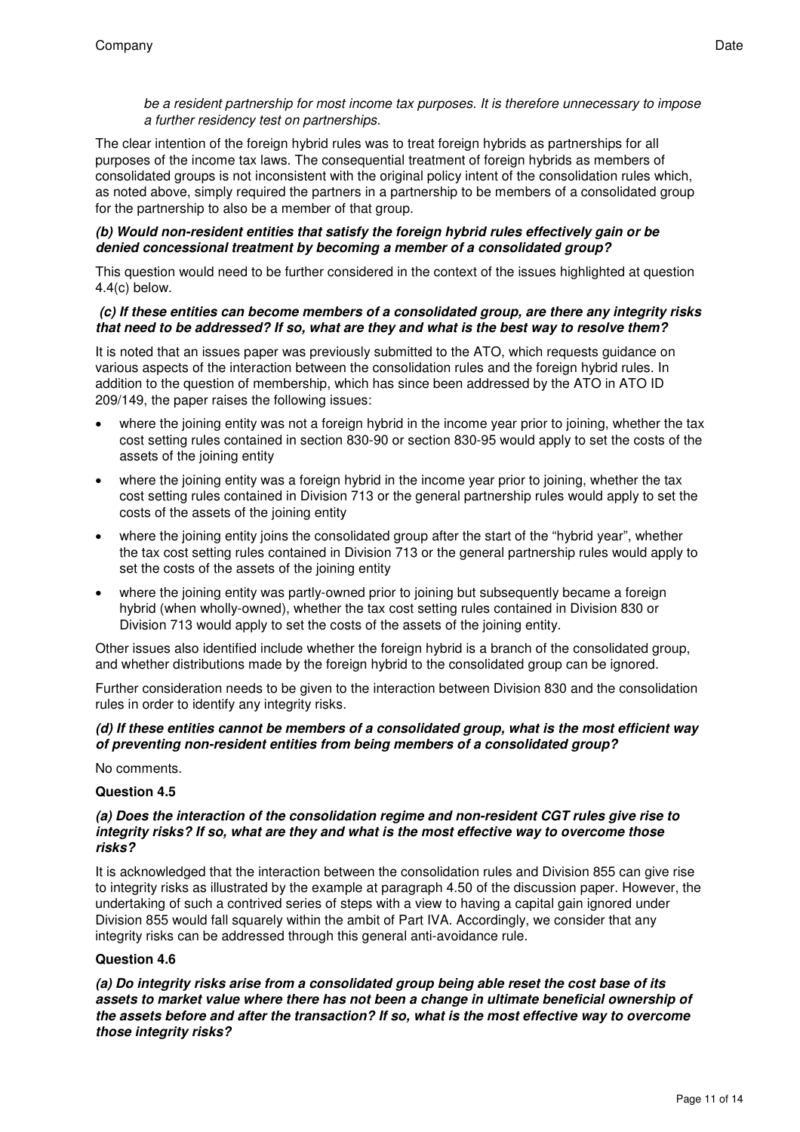## be a resident partnership for most income tax purposes. It is therefore unnecessary to impose a further residency test on partnerships.

The clear intention of the foreign hybrid rules was to treat foreign hybrids as partnerships for all purposes of the income tax laws. The consequential treatment of foreign hybrids as members of consolidated groups is not inconsistent with the original policy intent of the consolidation rules which, as noted above, simply required the partners in a partnership to be members of a consolidated group for the partnership to also be a member of that group.

## **(b) Would non-resident entities that satisfy the foreign hybrid rules effectively gain or be denied concessional treatment by becoming a member of a consolidated group?**

This question would need to be further considered in the context of the issues highlighted at question 4.4(c) below.

## **(c) If these entities can become members of a consolidated group, are there any integrity risks that need to be addressed? If so, what are they and what is the best way to resolve them?**

It is noted that an issues paper was previously submitted to the ATO, which requests guidance on various aspects of the interaction between the consolidation rules and the foreign hybrid rules. In addition to the question of membership, which has since been addressed by the ATO in ATO ID 209/149, the paper raises the following issues:

- where the joining entity was not a foreign hybrid in the income year prior to joining, whether the tax cost setting rules contained in section 830-90 or section 830-95 would apply to set the costs of the assets of the joining entity
- where the joining entity was a foreign hybrid in the income year prior to joining, whether the tax cost setting rules contained in Division 713 or the general partnership rules would apply to set the costs of the assets of the joining entity
- where the joining entity joins the consolidated group after the start of the "hybrid year", whether the tax cost setting rules contained in Division 713 or the general partnership rules would apply to set the costs of the assets of the joining entity
- where the joining entity was partly-owned prior to joining but subsequently became a foreign hybrid (when wholly-owned), whether the tax cost setting rules contained in Division 830 or Division 713 would apply to set the costs of the assets of the joining entity.

Other issues also identified include whether the foreign hybrid is a branch of the consolidated group, and whether distributions made by the foreign hybrid to the consolidated group can be ignored.

Further consideration needs to be given to the interaction between Division 830 and the consolidation rules in order to identify any integrity risks.

## **(d) If these entities cannot be members of a consolidated group, what is the most efficient way of preventing non-resident entities from being members of a consolidated group?**

No comments.

## **Question 4.5**

#### **(a) Does the interaction of the consolidation regime and non-resident CGT rules give rise to integrity risks? If so, what are they and what is the most effective way to overcome those risks?**

It is acknowledged that the interaction between the consolidation rules and Division 855 can give rise to integrity risks as illustrated by the example at paragraph 4.50 of the discussion paper. However, the undertaking of such a contrived series of steps with a view to having a capital gain ignored under Division 855 would fall squarely within the ambit of Part IVA. Accordingly, we consider that any integrity risks can be addressed through this general anti-avoidance rule.

## **Question 4.6**

**(a) Do integrity risks arise from a consolidated group being able reset the cost base of its assets to market value where there has not been a change in ultimate beneficial ownership of the assets before and after the transaction? If so, what is the most effective way to overcome those integrity risks?**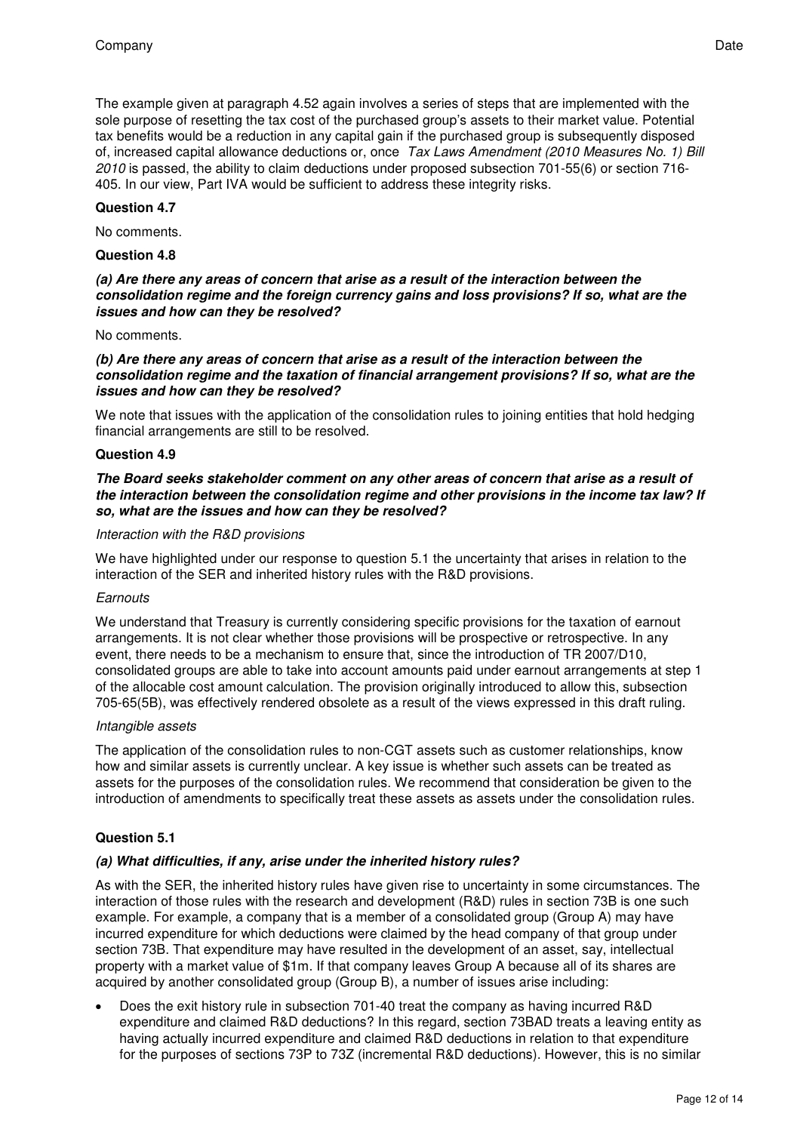The example given at paragraph 4.52 again involves a series of steps that are implemented with the sole purpose of resetting the tax cost of the purchased group's assets to their market value. Potential tax benefits would be a reduction in any capital gain if the purchased group is subsequently disposed of, increased capital allowance deductions or, once Tax Laws Amendment (2010 Measures No. 1) Bill 2010 is passed, the ability to claim deductions under proposed subsection 701-55(6) or section 716- 405. In our view, Part IVA would be sufficient to address these integrity risks.

#### **Question 4.7**

No comments.

#### **Question 4.8**

#### **(a) Are there any areas of concern that arise as a result of the interaction between the consolidation regime and the foreign currency gains and loss provisions? If so, what are the issues and how can they be resolved?**

No comments.

#### **(b) Are there any areas of concern that arise as a result of the interaction between the consolidation regime and the taxation of financial arrangement provisions? If so, what are the issues and how can they be resolved?**

We note that issues with the application of the consolidation rules to joining entities that hold hedging financial arrangements are still to be resolved.

#### **Question 4.9**

#### **The Board seeks stakeholder comment on any other areas of concern that arise as a result of the interaction between the consolidation regime and other provisions in the income tax law? If so, what are the issues and how can they be resolved?**

#### Interaction with the R&D provisions

We have highlighted under our response to question 5.1 the uncertainty that arises in relation to the interaction of the SER and inherited history rules with the R&D provisions.

#### **Earnouts**

We understand that Treasury is currently considering specific provisions for the taxation of earnout arrangements. It is not clear whether those provisions will be prospective or retrospective. In any event, there needs to be a mechanism to ensure that, since the introduction of TR 2007/D10, consolidated groups are able to take into account amounts paid under earnout arrangements at step 1 of the allocable cost amount calculation. The provision originally introduced to allow this, subsection 705-65(5B), was effectively rendered obsolete as a result of the views expressed in this draft ruling.

#### Intangible assets

The application of the consolidation rules to non-CGT assets such as customer relationships, know how and similar assets is currently unclear. A key issue is whether such assets can be treated as assets for the purposes of the consolidation rules. We recommend that consideration be given to the introduction of amendments to specifically treat these assets as assets under the consolidation rules.

## **Question 5.1**

#### **(a) What difficulties, if any, arise under the inherited history rules?**

As with the SER, the inherited history rules have given rise to uncertainty in some circumstances. The interaction of those rules with the research and development (R&D) rules in section 73B is one such example. For example, a company that is a member of a consolidated group (Group A) may have incurred expenditure for which deductions were claimed by the head company of that group under section 73B. That expenditure may have resulted in the development of an asset, say, intellectual property with a market value of \$1m. If that company leaves Group A because all of its shares are acquired by another consolidated group (Group B), a number of issues arise including:

· Does the exit history rule in subsection 701-40 treat the company as having incurred R&D expenditure and claimed R&D deductions? In this regard, section 73BAD treats a leaving entity as having actually incurred expenditure and claimed R&D deductions in relation to that expenditure for the purposes of sections 73P to 73Z (incremental R&D deductions). However, this is no similar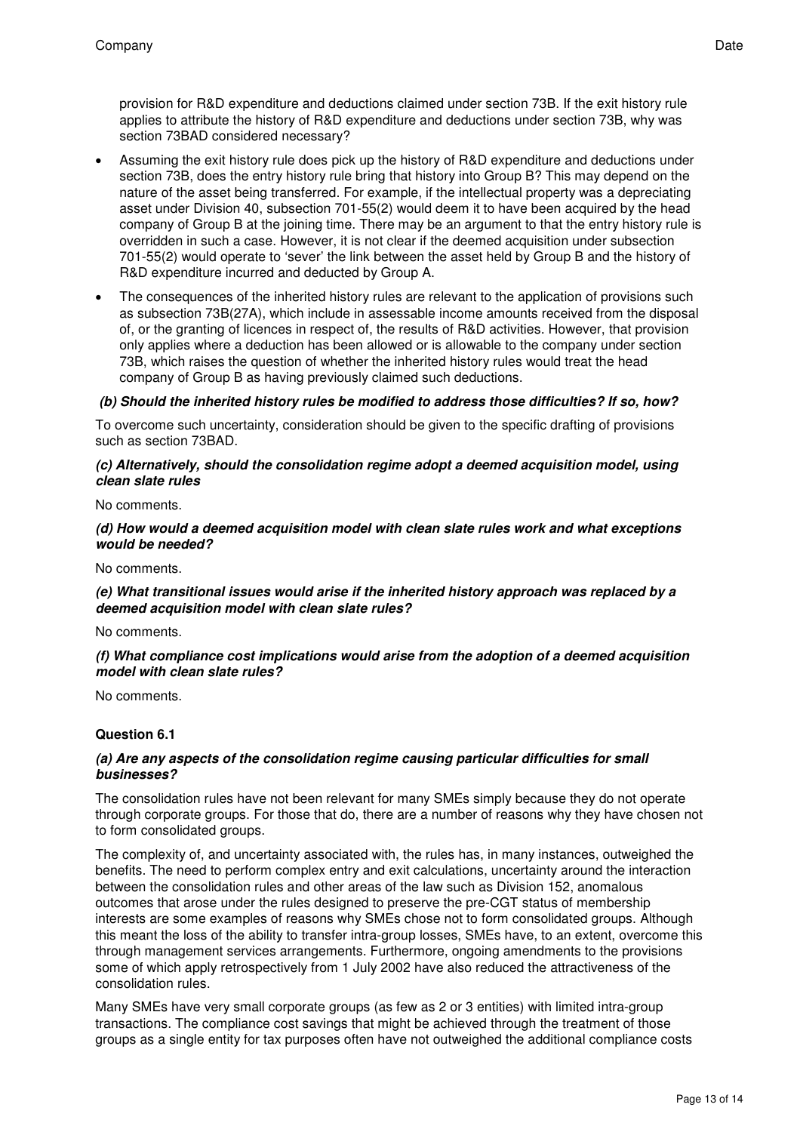provision for R&D expenditure and deductions claimed under section 73B. If the exit history rule applies to attribute the history of R&D expenditure and deductions under section 73B, why was section 73BAD considered necessary?

- Assuming the exit history rule does pick up the history of R&D expenditure and deductions under section 73B, does the entry history rule bring that history into Group B? This may depend on the nature of the asset being transferred. For example, if the intellectual property was a depreciating asset under Division 40, subsection 701-55(2) would deem it to have been acquired by the head company of Group B at the joining time. There may be an argument to that the entry history rule is overridden in such a case. However, it is not clear if the deemed acquisition under subsection 701-55(2) would operate to 'sever' the link between the asset held by Group B and the history of R&D expenditure incurred and deducted by Group A.
- The consequences of the inherited history rules are relevant to the application of provisions such as subsection 73B(27A), which include in assessable income amounts received from the disposal of, or the granting of licences in respect of, the results of R&D activities. However, that provision only applies where a deduction has been allowed or is allowable to the company under section 73B, which raises the question of whether the inherited history rules would treat the head company of Group B as having previously claimed such deductions.

#### **(b) Should the inherited history rules be modified to address those difficulties? If so, how?**

To overcome such uncertainty, consideration should be given to the specific drafting of provisions such as section 73BAD.

#### **(c) Alternatively, should the consolidation regime adopt a deemed acquisition model, using clean slate rules**

No comments.

#### **(d) How would a deemed acquisition model with clean slate rules work and what exceptions would be needed?**

No comments.

#### **(e) What transitional issues would arise if the inherited history approach was replaced by a deemed acquisition model with clean slate rules?**

No comments.

#### **(f) What compliance cost implications would arise from the adoption of a deemed acquisition model with clean slate rules?**

No comments.

#### **Question 6.1**

#### **(a) Are any aspects of the consolidation regime causing particular difficulties for small businesses?**

The consolidation rules have not been relevant for many SMEs simply because they do not operate through corporate groups. For those that do, there are a number of reasons why they have chosen not to form consolidated groups.

The complexity of, and uncertainty associated with, the rules has, in many instances, outweighed the benefits. The need to perform complex entry and exit calculations, uncertainty around the interaction between the consolidation rules and other areas of the law such as Division 152, anomalous outcomes that arose under the rules designed to preserve the pre-CGT status of membership interests are some examples of reasons why SMEs chose not to form consolidated groups. Although this meant the loss of the ability to transfer intra-group losses, SMEs have, to an extent, overcome this through management services arrangements. Furthermore, ongoing amendments to the provisions some of which apply retrospectively from 1 July 2002 have also reduced the attractiveness of the consolidation rules.

Many SMEs have very small corporate groups (as few as 2 or 3 entities) with limited intra-group transactions. The compliance cost savings that might be achieved through the treatment of those groups as a single entity for tax purposes often have not outweighed the additional compliance costs